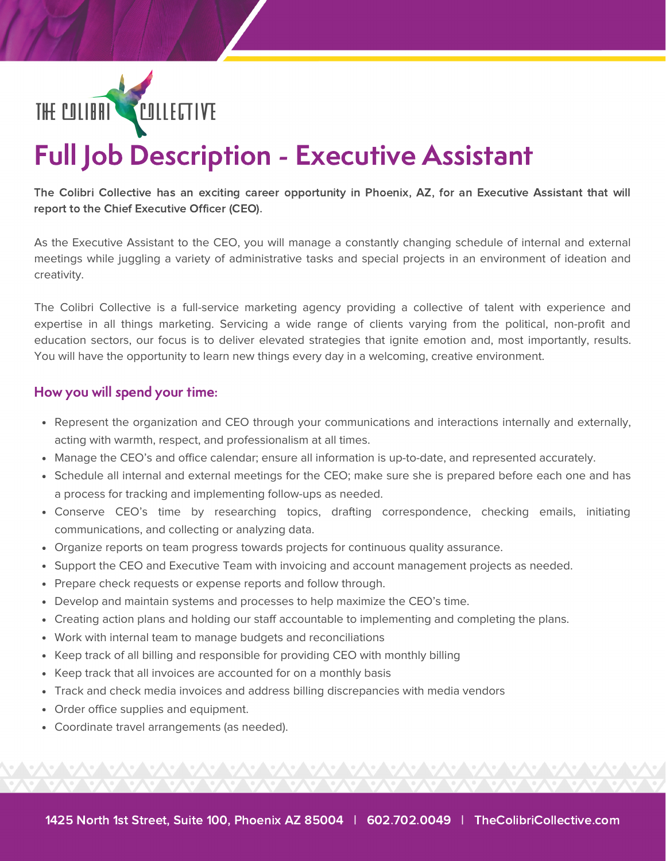

# Full Job Description - Executive Assistant

The Colibri Collective has an exciting career opportunity in Phoenix, AZ, for an Executive Assistant that will report to the Chief Executive Officer (CEO).

As the Executive Assistant to the CEO, you will manage a constantly changing schedule of internal and external meetings while juggling a variety of administrative tasks and special projects in an environment of ideation and creativity.

The Colibri Collective is a full-service marketing agency providing a collective of talent with experience and expertise in all things marketing. Servicing a wide range of clients varying from the political, non-profit and education sectors, our focus is to deliver elevated strategies that ignite emotion and, most importantly, results. You will have the opportunity to learn new things every day in a welcoming, creative environment.

### How you will spend your time:

- Represent the organization and CEO through your communications and interactions internally and externally, acting with warmth, respect, and professionalism at all times.
- Manage the CEO's and office calendar; ensure all information is up-to-date, and represented accurately.
- Schedule all internal and external meetings for the CEO; make sure she is prepared before each one and has a process for tracking and implementing follow-ups as needed.
- Conserve CEO's time by researching topics, drafting correspondence, checking emails, initiating communications, and collecting or analyzing data.
- Organize reports on team progress towards projects for continuous quality assurance.
- Support the CEO and Executive Team with invoicing and account management projects as needed.
- Prepare check requests or expense reports and follow through.
- Develop and maintain systems and processes to help maximize the CEO's time.
- Creating action plans and holding our staff accountable to implementing and completing the plans.
- Work with internal team to manage budgets and reconciliations
- Keep track of all billing and responsible for providing CEO with monthly billing
- Keep track that all invoices are accounted for on a monthly basis
- Track and check media invoices and address billing discrepancies with media vendors
- Order office supplies and equipment.
- Coordinate travel arrangements (as needed).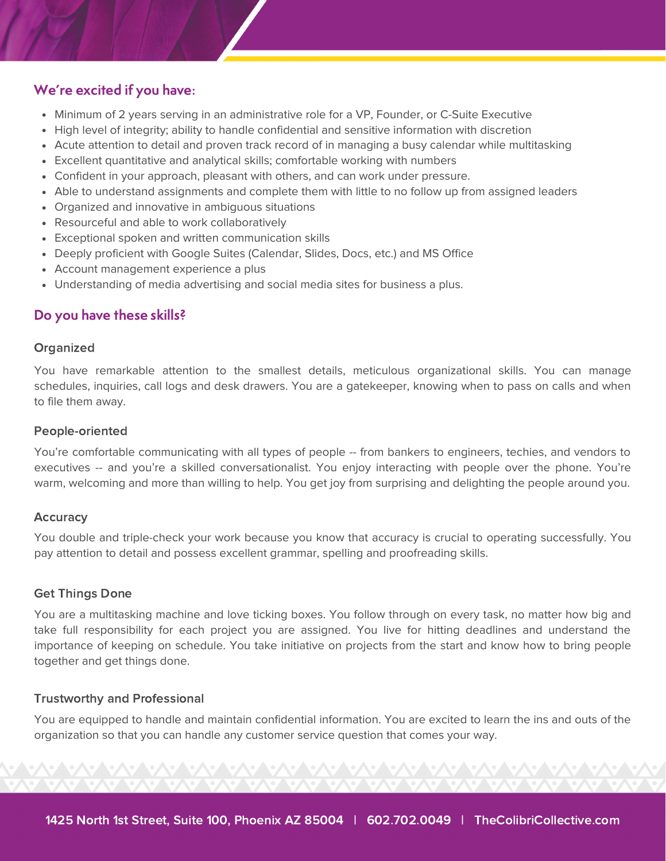## We're excited if you have:

- Minimum of 2 years serving in an administrative role for a VP, Founder, or C-Suite Executive
- High level of integrity; ability to handle confidential and sensitive information with discretion
- Acute attention to detail and proven track record of in managing a busy calendar while multitasking
- Excellent quantitative and analytical skills; comfortable working with numbers
- Confident in your approach, pleasant with others, and can work under pressure.
- Able to understand assignments and complete them with little to no follow up from assigned leaders
- Organized and innovative in ambiguous situations
- Resourceful and able to work collaboratively
- Exceptional spoken and written communication skills
- Deeply proficient with Google Suites (Calendar, Slides, Docs, etc.) and MS Office
- Account management experience a plus
- Understanding of media advertising and social media sites for business a plus.

## Do you have these skills?

#### **Organized**

You have remarkable attention to the smallest details, meticulous organizational skills. You can manage schedules, inquiries, call logs and desk drawers. You are a gatekeeper, knowing when to pass on calls and when to file them away.

#### People-oriented

You're comfortable communicating with all types of people -- from bankers to engineers, techies, and vendors to executives -- and you're a skilled conversationalist. You enjoy interacting with people over the phone. You're warm, welcoming and more than willing to help. You get joy from surprising and delighting the people around you.

#### Accuracy

You double and triple-check your work because you know that accuracy is crucial to operating successfully. You pay attention to detail and possess excellent grammar, spelling and proofreading skills.

#### Get Things Done

You are a multitasking machine and love ticking boxes. You follow through on every task, no matter how big and take full responsibility for each project you are assigned. You live for hitting deadlines and understand the importance of keeping on schedule. You take initiative on projects from the start and know how to bring people together and get things done.

#### Trustworthy and Professional

You are equipped to handle and maintain confidential information. You are excited to learn the ins and outs of the organization so that you can handle any customer service question that comes your way.